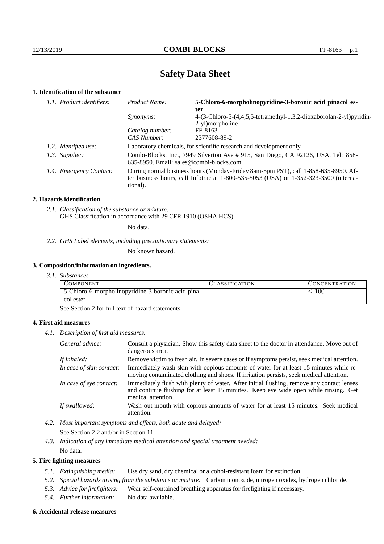# **Safety Data Sheet**

## **1. Identification of the substance**

| 1.1. Product identifiers: | Product Name:                                                                                                                                                                               | 5-Chloro-6-morpholinopyridine-3-boronic acid pinacol es-<br>ter                        |
|---------------------------|---------------------------------------------------------------------------------------------------------------------------------------------------------------------------------------------|----------------------------------------------------------------------------------------|
|                           | <i>Synonyms:</i>                                                                                                                                                                            | 4-(3-Chloro-5-(4,4,5,5-tetramethyl-1,3,2-dioxaborolan-2-yl)pyridin-<br>2-yl)morpholine |
|                           | Catalog number:                                                                                                                                                                             | FF-8163                                                                                |
|                           | CAS Number:                                                                                                                                                                                 | 2377608-89-2                                                                           |
| 1.2. Identified use:      | Laboratory chemicals, for scientific research and development only.                                                                                                                         |                                                                                        |
| 1.3. Supplier:            | Combi-Blocks, Inc., 7949 Silverton Ave # 915, San Diego, CA 92126, USA. Tel: 858-<br>635-8950. Email: sales@combi-blocks.com.                                                               |                                                                                        |
| 1.4. Emergency Contact:   | During normal business hours (Monday-Friday 8am-5pm PST), call 1-858-635-8950. Af-<br>ter business hours, call Infotrac at $1-800-535-5053$ (USA) or $1-352-323-3500$ (interna-<br>tional). |                                                                                        |

### **2. Hazards identification**

*2.1. Classification of the substance or mixture:* GHS Classification in accordance with 29 CFR 1910 (OSHA HCS)

No data.

#### *2.2. GHS Label elements, including precautionary statements:*

No known hazard.

## **3. Composition/information on ingredients.**

*3.1. Substances*

| <b>COMPONENT</b>                                   | CLASSIFICATION | CONCENTRATION |
|----------------------------------------------------|----------------|---------------|
| 5-Chloro-6-morpholinopyridine-3-boronic acid pina- |                | $100\,$       |
| col ester                                          |                |               |

See Section 2 for full text of hazard statements.

## **4. First aid measures**

*4.1. Description of first aid measures.*

| General advice:          | Consult a physician. Show this safety data sheet to the doctor in attendance. Move out of<br>dangerous area.                                                                                            |
|--------------------------|---------------------------------------------------------------------------------------------------------------------------------------------------------------------------------------------------------|
| If inhaled:              | Remove victim to fresh air. In severe cases or if symptoms persist, seek medical attention.                                                                                                             |
| In case of skin contact: | Immediately wash skin with copious amounts of water for at least 15 minutes while re-<br>moving contaminated clothing and shoes. If irritation persists, seek medical attention.                        |
| In case of eye contact:  | Immediately flush with plenty of water. After initial flushing, remove any contact lenses<br>and continue flushing for at least 15 minutes. Keep eye wide open while rinsing. Get<br>medical attention. |
| If swallowed:            | Wash out mouth with copious amounts of water for at least 15 minutes. Seek medical<br>attention.                                                                                                        |

*4.2. Most important symptoms and effects, both acute and delayed:*

See Section 2.2 and/or in Section 11.

*4.3. Indication of any immediate medical attention and special treatment needed:* No data.

## **5. Fire fighting measures**

- *5.1. Extinguishing media:* Use dry sand, dry chemical or alcohol-resistant foam for extinction.
- *5.2. Special hazards arising from the substance or mixture:* Carbon monoxide, nitrogen oxides, hydrogen chloride.
- *5.3. Advice for firefighters:* Wear self-contained breathing apparatus for firefighting if necessary.
- *5.4. Further information:* No data available.

#### **6. Accidental release measures**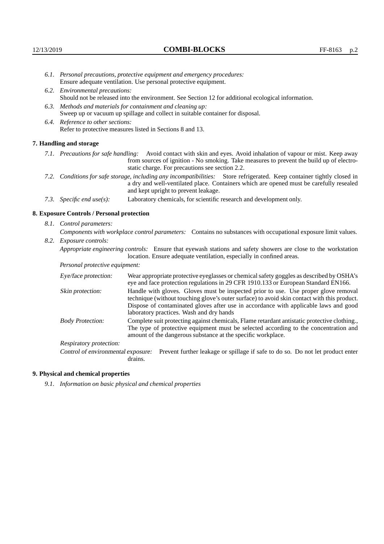- *6.1. Personal precautions, protective equipment and emergency procedures:* Ensure adequate ventilation. Use personal protective equipment.
- *6.2. Environmental precautions:* Should not be released into the environment. See Section 12 for additional ecological information.
- *6.3. Methods and materials for containment and cleaning up:* Sweep up or vacuum up spillage and collect in suitable container for disposal.
- *6.4. Reference to other sections:* Refer to protective measures listed in Sections 8 and 13.

#### **7. Handling and storage**

- *7.1. Precautions for safe handling:* Avoid contact with skin and eyes. Avoid inhalation of vapour or mist. Keep away from sources of ignition - No smoking. Take measures to prevent the build up of electrostatic charge. For precautions see section 2.2.
- *7.2. Conditions for safe storage, including any incompatibilities:* Store refrigerated. Keep container tightly closed in a dry and well-ventilated place. Containers which are opened must be carefully resealed and kept upright to prevent leakage.
- *7.3. Specific end use(s):* Laboratory chemicals, for scientific research and development only.

#### **8. Exposure Controls / Personal protection**

*8.1. Control parameters:*

*Components with workplace control parameters:* Contains no substances with occupational exposure limit values. *8.2. Exposure controls:*

*Appropriate engineering controls:* Ensure that eyewash stations and safety showers are close to the workstation

location. Ensure adequate ventilation, especially in confined areas.

*Personal protective equipment:*

| Eye/face protection:    | Wear appropriate protective eyeglasses or chemical safety goggles as described by OSHA's<br>eye and face protection regulations in 29 CFR 1910.133 or European Standard EN166.                                                                                                                                         |
|-------------------------|------------------------------------------------------------------------------------------------------------------------------------------------------------------------------------------------------------------------------------------------------------------------------------------------------------------------|
| Skin protection:        | Handle with gloves. Gloves must be inspected prior to use. Use proper glove removal<br>technique (without touching glove's outer surface) to avoid skin contact with this product.<br>Dispose of contaminated gloves after use in accordance with applicable laws and good<br>laboratory practices. Wash and dry hands |
| <b>Body Protection:</b> | Complete suit protecting against chemicals, Flame retardant antistatic protective clothing.,<br>The type of protective equipment must be selected according to the concentration and<br>amount of the dangerous substance at the specific workplace.                                                                   |
| Respiratory protection: |                                                                                                                                                                                                                                                                                                                        |

Control of environmental exposure: Prevent further leakage or spillage if safe to do so. Do not let product enter drains.

### **9. Physical and chemical properties**

*9.1. Information on basic physical and chemical properties*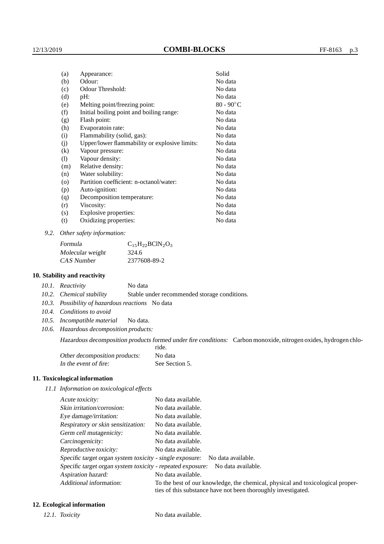| (a)      | Appearance:                                   | Solid                   |
|----------|-----------------------------------------------|-------------------------|
| (b)      | Odour:                                        | No data                 |
| (c)      | Odour Threshold:                              | No data                 |
| (d)      | pH:                                           | No data                 |
| (e)      | Melting point/freezing point:                 | 80 - 90 $\rm ^{\circ}C$ |
| (f)      | Initial boiling point and boiling range:      | No data                 |
| (g)      | Flash point:                                  | No data                 |
| (h)      | Evaporatoin rate:                             | No data                 |
| (i)      | Flammability (solid, gas):                    | No data                 |
| (j)      | Upper/lower flammability or explosive limits: | No data                 |
| $\rm(k)$ | Vapour pressure:                              | No data                 |
| (1)      | Vapour density:                               | No data                 |
| (m)      | Relative density:                             | No data                 |
| (n)      | Water solubility:                             | No data                 |
| $\circ$  | Partition coefficient: n-octanol/water:       | No data                 |
| (p)      | Auto-ignition:                                | No data                 |
| (q)      | Decomposition temperature:                    | No data                 |
| (r)      | Viscosity:                                    | No data                 |
| (s)      | Explosive properties:                         | No data                 |
| (t)      | Oxidizing properties:                         | No data                 |
|          |                                               |                         |

*9.2. Other safety information:*

| Formula          | $C_{15}H_{22}BCiN_2O_3$ |
|------------------|-------------------------|
| Molecular weight | 324.6                   |
| CAS Number       | 2377608-89-2            |

#### **10. Stability and reactivity**

|  | 10.1. Reactivity | No data |
|--|------------------|---------|
|--|------------------|---------|

*10.2. Chemical stability* Stable under recommended storage conditions.

- *10.3. Possibility of hazardous reactions* No data
- *10.4. Conditions to avoid*
- *10.5. Incompatible material* No data.
- *10.6. Hazardous decomposition products:*

Hazardous decomposition products formed under fire conditions: Carbon monoxide, nitrogen oxides, hydrogen chlo-

|                               | ride.          |
|-------------------------------|----------------|
| Other decomposition products: | No data        |
| In the event of fire:         | See Section 5. |

## **11. Toxicological information**

*11.1 Information on toxicological effects*

| Acute toxicity:                                            | No data available.                                                                                                                              |
|------------------------------------------------------------|-------------------------------------------------------------------------------------------------------------------------------------------------|
| Skin irritation/corrosion:                                 | No data available.                                                                                                                              |
| Eye damage/irritation:                                     | No data available.                                                                                                                              |
| Respiratory or skin sensitization:                         | No data available.                                                                                                                              |
| Germ cell mutagenicity:                                    | No data available.                                                                                                                              |
| Carcinogenicity:                                           | No data available.                                                                                                                              |
| Reproductive toxicity:                                     | No data available.                                                                                                                              |
|                                                            | Specific target organ system toxicity - single exposure: No data available.                                                                     |
| Specific target organ system toxicity - repeated exposure: | No data available.                                                                                                                              |
| Aspiration hazard:                                         | No data available.                                                                                                                              |
| Additional information:                                    | To the best of our knowledge, the chemical, physical and toxicological proper-<br>ties of this substance have not been thoroughly investigated. |

## **12. Ecological information**

*12.1. Toxicity* No data available.